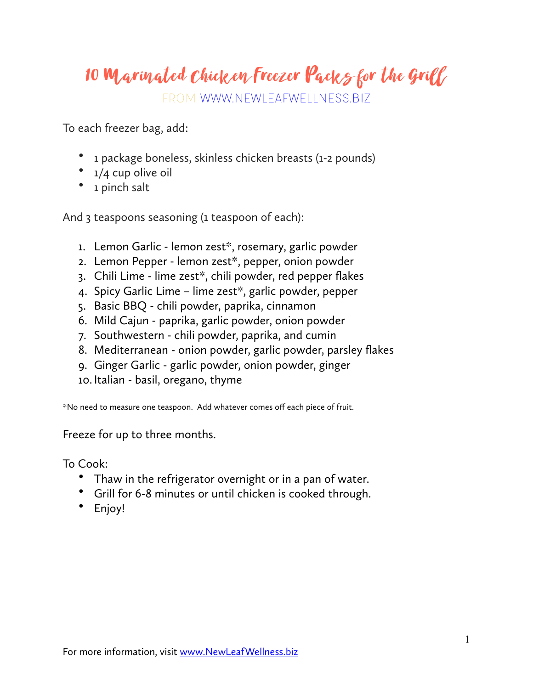## 10 Marinated Chicken Freezer Packs for the Grill

FROM [WWW.NEWLEAFWELLNESS.BIZ](http://WWW.NEWLEAFWELLNESS.BIZ)

To each freezer bag, add:

- 1 package boneless, skinless chicken breasts (1-2 pounds)
- $\bullet$  1/4 cup olive oil
- 1 pinch salt

And 3 teaspoons seasoning (1 teaspoon of each):

- 1. Lemon Garlic lemon zest\*, rosemary, garlic powder
- 2. Lemon Pepper lemon zest\*, pepper, onion powder
- 3. Chili Lime lime zest\*, chili powder, red pepper flakes
- 4. Spicy Garlic Lime lime zest\*, garlic powder, pepper
- 5. Basic BBQ chili powder, paprika, cinnamon
- 6. Mild Cajun paprika, garlic powder, onion powder
- 7. Southwestern chili powder, paprika, and cumin
- 8. Mediterranean onion powder, garlic powder, parsley flakes
- 9. Ginger Garlic garlic powder, onion powder, ginger
- 10.Italian basil, oregano, thyme

\*No need to measure one teaspoon. Add whatever comes off each piece of fruit.

Freeze for up to three months.

To Cook:

- Thaw in the refrigerator overnight or in a pan of water.
- Grill for 6-8 minutes or until chicken is cooked through.
- Enjoy!